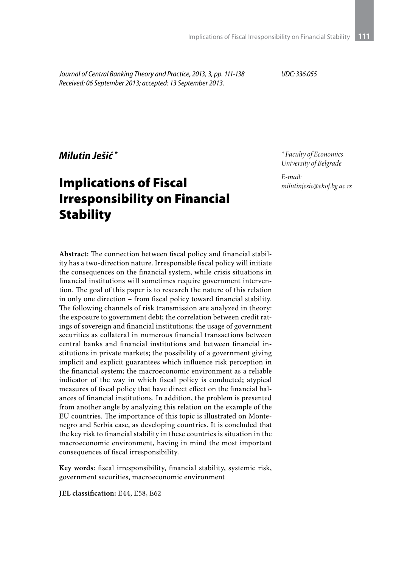*Journal of Central Banking Theory and Practice, 2013, 3, pp. 111-138 Received: 06 September 2013; accepted: 13 September 2013.*

*UDC: 336.055*

*Milutin Ješić \**

# Implications of Fiscal Irresponsibility on Financial **Stability**

*\* Faculty of Economics, University of Belgrade*

*E-mail: milutinjesic@ekof.bg.ac.rs*

**Abstract:** The connection between fiscal policy and financial stability has a two-direction nature. Irresponsible fiscal policy will initiate the consequences on the financial system, while crisis situations in financial institutions will sometimes require government intervention. The goal of this paper is to research the nature of this relation in only one direction – from fiscal policy toward financial stability. The following channels of risk transmission are analyzed in theory: the exposure to government debt; the correlation between credit ratings of sovereign and financial institutions; the usage of government securities as collateral in numerous financial transactions between central banks and financial institutions and between financial institutions in private markets; the possibility of a government giving implicit and explicit guarantees which influence risk perception in the financial system; the macroeconomic environment as a reliable indicator of the way in which fiscal policy is conducted; atypical measures of fiscal policy that have direct effect on the financial balances of financial institutions. In addition, the problem is presented from another angle by analyzing this relation on the example of the EU countries. The importance of this topic is illustrated on Montenegro and Serbia case, as developing countries. It is concluded that the key risk to financial stability in these countries is situation in the macroeconomic environment, having in mind the most important consequences of fiscal irresponsibility.

**Key words:** fiscal irresponsibility, financial stability, systemic risk, government securities, macroeconomic environment

**JEL classification:** E44, E58, E62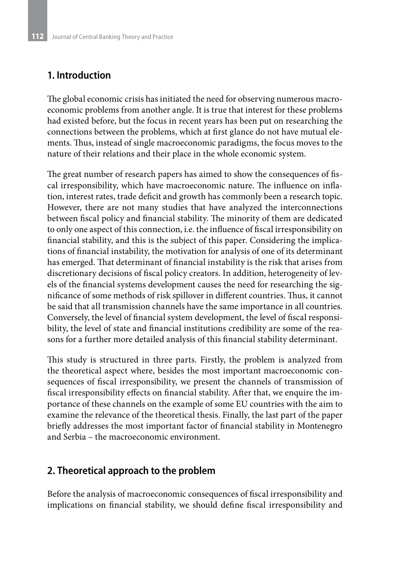### **1. Introduction**

The global economic crisis has initiated the need for observing numerous macroeconomic problems from another angle. It is true that interest for these problems had existed before, but the focus in recent years has been put on researching the connections between the problems, which at first glance do not have mutual elements. Thus, instead of single macroeconomic paradigms, the focus moves to the nature of their relations and their place in the whole economic system.

The great number of research papers has aimed to show the consequences of fiscal irresponsibility, which have macroeconomic nature. The influence on inflation, interest rates, trade deficit and growth has commonly been a research topic. However, there are not many studies that have analyzed the interconnections between fiscal policy and financial stability. The minority of them are dedicated to only one aspect of this connection, i.e. the influence of fiscal irresponsibility on financial stability, and this is the subject of this paper. Considering the implications of financial instability, the motivation for analysis of one of its determinant has emerged. That determinant of financial instability is the risk that arises from discretionary decisions of fiscal policy creators. In addition, heterogeneity of levels of the financial systems development causes the need for researching the significance of some methods of risk spillover in different countries. Thus, it cannot be said that all transmission channels have the same importance in all countries. Conversely, the level of financial system development, the level of fiscal responsibility, the level of state and financial institutions credibility are some of the reasons for a further more detailed analysis of this financial stability determinant.

This study is structured in three parts. Firstly, the problem is analyzed from the theoretical aspect where, besides the most important macroeconomic consequences of fiscal irresponsibility, we present the channels of transmission of fiscal irresponsibility effects on financial stability. After that, we enquire the importance of these channels on the example of some EU countries with the aim to examine the relevance of the theoretical thesis. Finally, the last part of the paper briefly addresses the most important factor of financial stability in Montenegro and Serbia – the macroeconomic environment.

### **2. Theoretical approach to the problem**

Before the analysis of macroeconomic consequences of fiscal irresponsibility and implications on financial stability, we should define fiscal irresponsibility and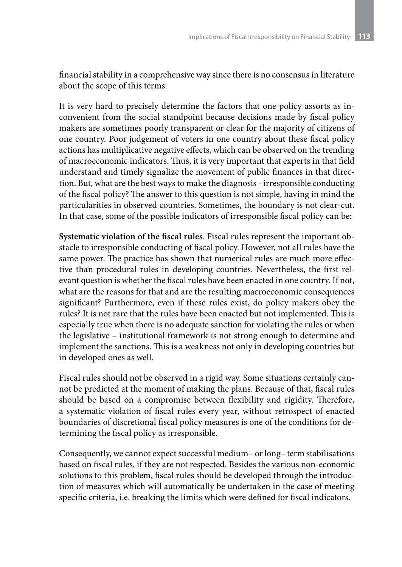financial stability in a comprehensive way since there is no consensus in literature about the scope of this terms.

It is very hard to precisely determine the factors that one policy assorts as inconvenient from the social standpoint because decisions made by fiscal policy makers are sometimes poorly transparent or clear for the majority of citizens of one country. Poor judgement of voters in one country about these fiscal policy actions has multiplicative negative effects, which can be observed on the trending of macroeconomic indicators. Thus, it is very important that experts in that field understand and timely signalize the movement of public finances in that direction. But, what are the best ways to make the diagnosis - irresponsible conducting of the fiscal policy? The answer to this question is not simple, having in mind the particularities in observed countries. Sometimes, the boundary is not clear-cut. In that case, some of the possible indicators of irresponsible fiscal policy can be:

**Systematic violation of the fiscal rules**. Fiscal rules represent the important obstacle to irresponsible conducting of fiscal policy. However, not all rules have the same power. The practice has shown that numerical rules are much more effective than procedural rules in developing countries. Nevertheless, the first relevant question is whether the fiscal rules have been enacted in one country. If not, what are the reasons for that and are the resulting macroeconomic consequences significant? Furthermore, even if these rules exist, do policy makers obey the rules? It is not rare that the rules have been enacted but not implemented. This is especially true when there is no adequate sanction for violating the rules or when the legislative – institutional framework is not strong enough to determine and implement the sanctions. This is a weakness not only in developing countries but in developed ones as well.

Fiscal rules should not be observed in a rigid way. Some situations certainly cannot be predicted at the moment of making the plans. Because of that, fiscal rules should be based on a compromise between flexibility and rigidity. Therefore, a systematic violation of fiscal rules every year, without retrospect of enacted boundaries of discretional fiscal policy measures is one of the conditions for determining the fiscal policy as irresponsible.

Consequently, we cannot expect successful medium– or long– term stabilisations based on fiscal rules, if they are not respected. Besides the various non-economic solutions to this problem, fiscal rules should be developed through the introduction of measures which will automatically be undertaken in the case of meeting specific criteria, i.e. breaking the limits which were defined for fiscal indicators.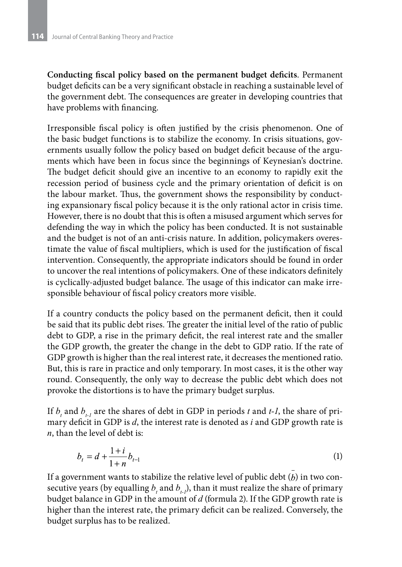**Conducting fiscal policy based on the permanent budget deficits**. Permanent budget deficits can be a very significant obstacle in reaching a sustainable level of the government debt. The consequences are greater in developing countries that have problems with financing.

Irresponsible fiscal policy is often justified by the crisis phenomenon. One of the basic budget functions is to stabilize the economy. In crisis situations, governments usually follow the policy based on budget deficit because of the arguments which have been in focus since the beginnings of Keynesian's doctrine. The budget deficit should give an incentive to an economy to rapidly exit the recession period of business cycle and the primary orientation of deficit is on the labour market. Thus, the government shows the responsibility by conducting expansionary fiscal policy because it is the only rational actor in crisis time. However, there is no doubt that this is often a misused argument which serves for defending the way in which the policy has been conducted. It is not sustainable and the budget is not of an anti-crisis nature. In addition, policymakers overestimate the value of fiscal multipliers, which is used for the justification of fiscal intervention. Consequently, the appropriate indicators should be found in order to uncover the real intentions of policymakers. One of these indicators definitely is cyclically-adjusted budget balance. The usage of this indicator can make irresponsible behaviour of fiscal policy creators more visible.

If a country conducts the policy based on the permanent deficit, then it could be said that its public debt rises. The greater the initial level of the ratio of public debt to GDP, a rise in the primary deficit, the real interest rate and the smaller the GDP growth, the greater the change in the debt to GDP ratio. If the rate of GDP growth is higher than the real interest rate, it decreases the mentioned ratio. But, this is rare in practice and only temporary. In most cases, it is the other way round. Consequently, the only way to decrease the public debt which does not provoke the distortions is to have the primary budget surplus.

If  $b_{\scriptscriptstyle t}$  and  $b_{\scriptscriptstyle t\!-\!l}$  are the shares of debt in GDP in periods  $t$  and  $t$ -*l*, the share of primary deficit in GDP is *d*, the interest rate is denoted as *i* and GDP growth rate is *n*, than the level of debt is:

$$
b_t = d + \frac{1+i}{1+n} b_{t-1} \tag{1}
$$

If a government wants to stabilize the relative level of public debt  $(b)$  in two consecutive years (by equalling  $b_{\iota}$  and  $b_{\iota\cdot l}$ ), than it must realize the share of primary budget balance in GDP in the amount of *d* (formula 2). If the GDP growth rate is higher than the interest rate, the primary deficit can be realized. Conversely, the budget surplus has to be realized.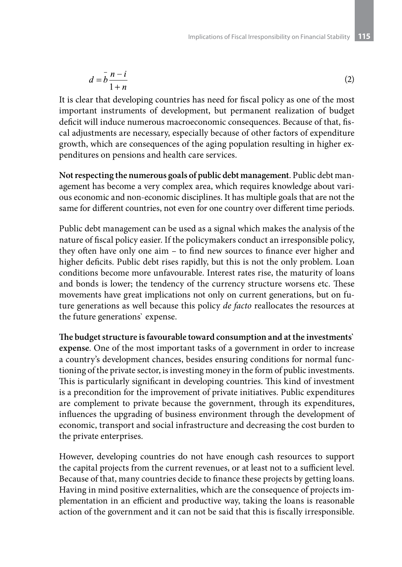$$
d = \overline{b} \frac{n-i}{1+n} \tag{2}
$$

It is clear that developing countries has need for fiscal policy as one of the most important instruments of development, but permanent realization of budget deficit will induce numerous macroeconomic consequences. Because of that, fiscal adjustments are necessary, especially because of other factors of expenditure growth, which are consequences of the aging population resulting in higher expenditures on pensions and health care services.

**Not respecting the numerous goals of public debt management**. Public debt management has become a very complex area, which requires knowledge about various economic and non-economic disciplines. It has multiple goals that are not the same for different countries, not even for one country over different time periods.

Public debt management can be used as a signal which makes the analysis of the nature of fiscal policy easier. If the policymakers conduct an irresponsible policy, they often have only one aim – to find new sources to finance ever higher and higher deficits. Public debt rises rapidly, but this is not the only problem. Loan conditions become more unfavourable. Interest rates rise, the maturity of loans and bonds is lower; the tendency of the currency structure worsens etc. These movements have great implications not only on current generations, but on future generations as well because this policy *de facto* reallocates the resources at the future generations` expense.

**The budget structure is favourable toward consumption and at the investments` expense**. One of the most important tasks of a government in order to increase a country's development chances, besides ensuring conditions for normal functioning of the private sector, is investing money in the form of public investments. This is particularly significant in developing countries. This kind of investment is a precondition for the improvement of private initiatives. Public expenditures are complement to private because the government, through its expenditures, influences the upgrading of business environment through the development of economic, transport and social infrastructure and decreasing the cost burden to the private enterprises.

However, developing countries do not have enough cash resources to support the capital projects from the current revenues, or at least not to a sufficient level. Because of that, many countries decide to finance these projects by getting loans. Having in mind positive externalities, which are the consequence of projects implementation in an efficient and productive way, taking the loans is reasonable action of the government and it can not be said that this is fiscally irresponsible.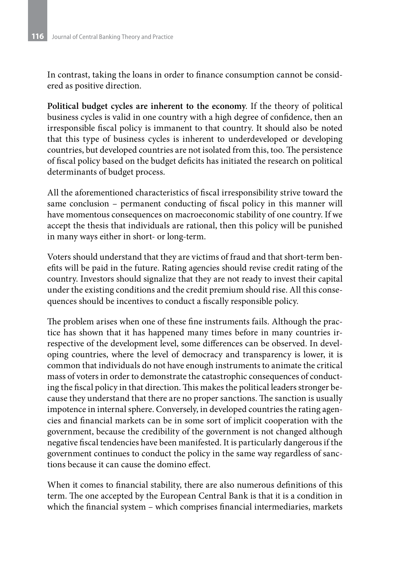In contrast, taking the loans in order to finance consumption cannot be considered as positive direction.

**Political budget cycles are inherent to the economy**. If the theory of political business cycles is valid in one country with a high degree of confidence, then an irresponsible fiscal policy is immanent to that country. It should also be noted that this type of business cycles is inherent to underdeveloped or developing countries, but developed countries are not isolated from this, too. The persistence of fiscal policy based on the budget deficits has initiated the research on political determinants of budget process.

All the aforementioned characteristics of fiscal irresponsibility strive toward the same conclusion – permanent conducting of fiscal policy in this manner will have momentous consequences on macroeconomic stability of one country. If we accept the thesis that individuals are rational, then this policy will be punished in many ways either in short- or long-term.

Voters should understand that they are victims of fraud and that short-term benefits will be paid in the future. Rating agencies should revise credit rating of the country. Investors should signalize that they are not ready to invest their capital under the existing conditions and the credit premium should rise. All this consequences should be incentives to conduct a fiscally responsible policy.

The problem arises when one of these fine instruments fails. Although the practice has shown that it has happened many times before in many countries irrespective of the development level, some differences can be observed. In developing countries, where the level of democracy and transparency is lower, it is common that individuals do not have enough instruments to animate the critical mass of voters in order to demonstrate the catastrophic consequences of conducting the fiscal policy in that direction. This makes the political leaders stronger because they understand that there are no proper sanctions. The sanction is usually impotence in internal sphere. Conversely, in developed countries the rating agencies and financial markets can be in some sort of implicit cooperation with the government, because the credibility of the government is not changed although negative fiscal tendencies have been manifested. It is particularly dangerous if the government continues to conduct the policy in the same way regardless of sanctions because it can cause the domino effect.

When it comes to financial stability, there are also numerous definitions of this term. The one accepted by the European Central Bank is that it is a condition in which the financial system – which comprises financial intermediaries, markets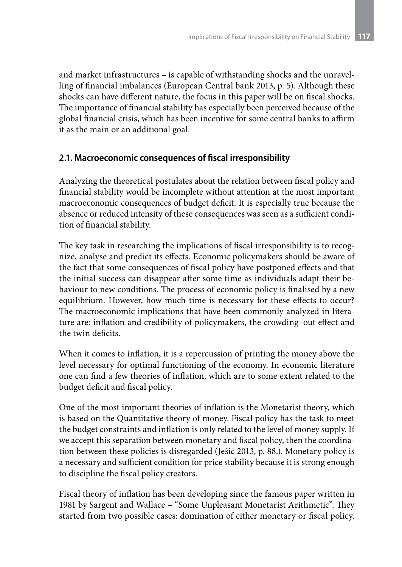and market infrastructures – is capable of withstanding shocks and the unravelling of financial imbalances (European Central bank 2013, p. 5). Although these shocks can have different nature, the focus in this paper will be on fiscal shocks. The importance of financial stability has especially been perceived because of the global financial crisis, which has been incentive for some central banks to affirm it as the main or an additional goal.

### **2.1. Macroeconomic consequences of fiscal irresponsibility**

Analyzing the theoretical postulates about the relation between fiscal policy and financial stability would be incomplete without attention at the most important macroeconomic consequences of budget deficit. It is especially true because the absence or reduced intensity of these consequences was seen as a sufficient condition of financial stability.

The key task in researching the implications of fiscal irresponsibility is to recognize, analyse and predict its effects. Economic policymakers should be aware of the fact that some consequences of fiscal policy have postponed effects and that the initial success can disappear after some time as individuals adapt their behaviour to new conditions. The process of economic policy is finalised by a new equilibrium. However, how much time is necessary for these effects to occur? The macroeconomic implications that have been commonly analyzed in literature are: inflation and credibility of policymakers, the crowding–out effect and the twin deficits.

When it comes to inflation, it is a repercussion of printing the money above the level necessary for optimal functioning of the economy. In economic literature one can find a few theories of inflation, which are to some extent related to the budget deficit and fiscal policy.

One of the most important theories of inflation is the Monetarist theory, which is based on the Quantitative theory of money. Fiscal policy has the task to meet the budget constraints and inflation is only related to the level of money supply. If we accept this separation between monetary and fiscal policy, then the coordination between these policies is disregarded (Ješić 2013, p. 88.). Monetary policy is a necessary and sufficient condition for price stability because it is strong enough to discipline the fiscal policy creators.

Fiscal theory of inflation has been developing since the famous paper written in 1981 by Sargent and Wallace – "Some Unpleasant Monetarist Arithmetic". They started from two possible cases: domination of either monetary or fiscal policy.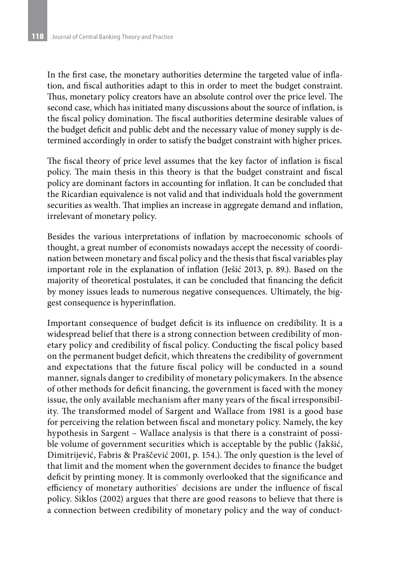In the first case, the monetary authorities determine the targeted value of inflation, and fiscal authorities adapt to this in order to meet the budget constraint. Thus, monetary policy creators have an absolute control over the price level. The second case, which has initiated many discussions about the source of inflation, is the fiscal policy domination. The fiscal authorities determine desirable values of the budget deficit and public debt and the necessary value of money supply is determined accordingly in order to satisfy the budget constraint with higher prices.

The fiscal theory of price level assumes that the key factor of inflation is fiscal policy. The main thesis in this theory is that the budget constraint and fiscal policy are dominant factors in accounting for inflation. It can be concluded that the Ricardian equivalence is not valid and that individuals hold the government securities as wealth. That implies an increase in aggregate demand and inflation, irrelevant of monetary policy.

Besides the various interpretations of inflation by macroeconomic schools of thought, a great number of economists nowadays accept the necessity of coordination between monetary and fiscal policy and the thesis that fiscal variables play important role in the explanation of inflation (Ješić 2013, p. 89.). Based on the majority of theoretical postulates, it can be concluded that financing the deficit by money issues leads to numerous negative consequences. Ultimately, the biggest consequence is hyperinflation.

Important consequence of budget deficit is its influence on credibility. It is a widespread belief that there is a strong connection between credibility of monetary policy and credibility of fiscal policy. Conducting the fiscal policy based on the permanent budget deficit, which threatens the credibility of government and expectations that the future fiscal policy will be conducted in a sound manner, signals danger to credibility of monetary policymakers. In the absence of other methods for deficit financing, the government is faced with the money issue, the only available mechanism after many years of the fiscal irresponsibility. The transformed model of Sargent and Wallace from 1981 is a good base for perceiving the relation between fiscal and monetary policy. Namely, the key hypothesis in Sargent – Wallace analysis is that there is a constraint of possible volume of government securities which is acceptable by the public (Jаkšić, Dimitrijеvić, Fаbris & Prаščеvić 2001, p. 154.). The only question is the level of that limit and the moment when the government decides to finance the budget deficit by printing money. It is commonly overlooked that the significance and efficiency of monetary authorities` decisions are under the influence of fiscal policy. Siklos (2002) argues that there are good reasons to believe that there is a connection between credibility of monetary policy and the way of conduct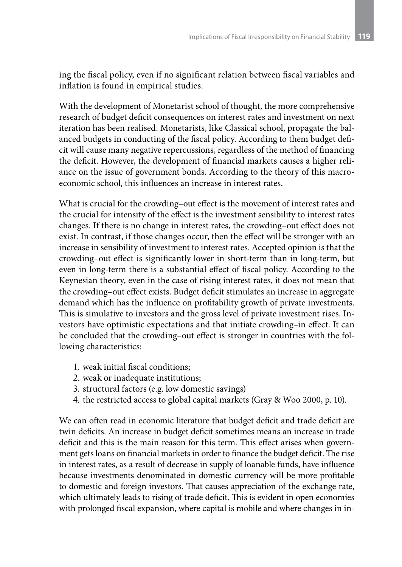ing the fiscal policy, even if no significant relation between fiscal variables and inflation is found in empirical studies.

With the development of Monetarist school of thought, the more comprehensive research of budget deficit consequences on interest rates and investment on next iteration has been realised. Monetarists, like Classical school, propagate the balanced budgets in conducting of the fiscal policy. According to them budget deficit will cause many negative repercussions, regardless of the method of financing the deficit. However, the development of financial markets causes a higher reliance on the issue of government bonds. According to the theory of this macroeconomic school, this influences an increase in interest rates.

What is crucial for the crowding–out effect is the movement of interest rates and the crucial for intensity of the effect is the investment sensibility to interest rates changes. If there is no change in interest rates, the crowding–out effect does not exist. In contrast, if those changes occur, then the effect will be stronger with an increase in sensibility of investment to interest rates. Accepted opinion is that the crowding–out effect is significantly lower in short-term than in long-term, but even in long-term there is a substantial effect of fiscal policy. According to the Keynesian theory, even in the case of rising interest rates, it does not mean that the crowding–out effect exists. Budget deficit stimulates an increase in aggregate demand which has the influence on profitability growth of private investments. This is simulative to investors and the gross level of private investment rises. Investors have optimistic expectations and that initiate crowding–in effect. It can be concluded that the crowding–out effect is stronger in countries with the following characteristics:

- 1. weak initial fiscal conditions;
- 2. weak or inadequate institutions;
- 3. structural factors (e.g. low domestic savings)
- 4. the restricted access to global capital markets (Gray & Woo 2000, p. 10).

We can often read in economic literature that budget deficit and trade deficit are twin deficits. An increase in budget deficit sometimes means an increase in trade deficit and this is the main reason for this term. This effect arises when government gets loans on financial markets in order to finance the budget deficit. The rise in interest rates, as a result of decrease in supply of loanable funds, have influence because investments denominated in domestic currency will be more profitable to domestic and foreign investors. That causes appreciation of the exchange rate, which ultimately leads to rising of trade deficit. This is evident in open economies with prolonged fiscal expansion, where capital is mobile and where changes in in-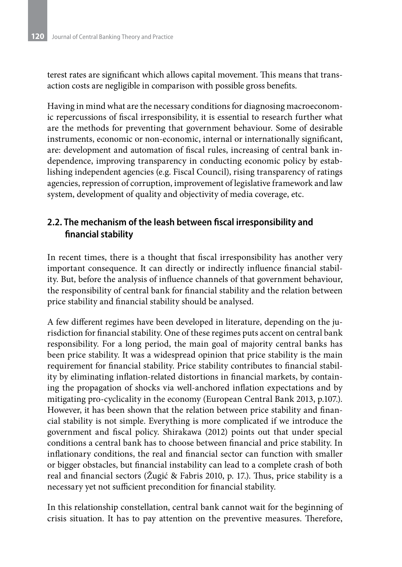terest rates are significant which allows capital movement. This means that transaction costs are negligible in comparison with possible gross benefits.

Having in mind what are the necessary conditions for diagnosing macroeconomic repercussions of fiscal irresponsibility, it is essential to research further what are the methods for preventing that government behaviour. Some of desirable instruments, economic or non-economic, internal or internationally significant, are: development and automation of fiscal rules, increasing of central bank independence, improving transparency in conducting economic policy by establishing independent agencies (e.g. Fiscal Council), rising transparency of ratings agencies, repression of corruption, improvement of legislative framework and law system, development of quality and objectivity of media coverage, etc.

## **2.2. The mechanism of the leash between fiscal irresponsibility and financial stability**

In recent times, there is a thought that fiscal irresponsibility has another very important consequence. It can directly or indirectly influence financial stability. But, before the analysis of influence channels of that government behaviour, the responsibility of central bank for financial stability and the relation between price stability and financial stability should be analysed.

A few different regimes have been developed in literature, depending on the jurisdiction for financial stability. One of these regimes puts accent on central bank responsibility. For a long period, the main goal of majority central banks has been price stability. It was a widespread opinion that price stability is the main requirement for financial stability. Price stability contributes to financial stability by eliminating inflation-related distortions in financial markets, by containing the propagation of shocks via well-anchored inflation expectations and by mitigating pro-cyclicality in the economy (European Central Bank 2013, p.107.). However, it has been shown that the relation between price stability and financial stability is not simple. Everything is more complicated if we introduce the government and fiscal policy. Shirakawa (2012) points out that under special conditions a central bank has to choose between financial and price stability. In inflationary conditions, the real and financial sector can function with smaller or bigger obstacles, but financial instability can lead to a complete crash of both real and financial sectors (Žugić & Fabris 2010, p. 17.). Thus, price stability is a necessary yet not sufficient precondition for financial stability.

In this relationship constellation, central bank cannot wait for the beginning of crisis situation. It has to pay attention on the preventive measures. Therefore,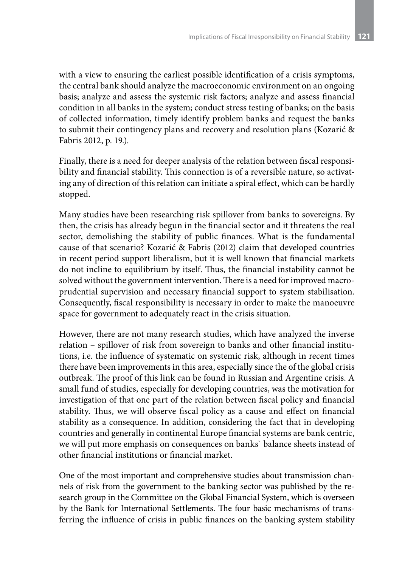with a view to ensuring the earliest possible identification of a crisis symptoms, the central bank should analyze the macroeconomic environment on an ongoing basis; analyze and assess the systemic risk factors; analyze and assess financial condition in all banks in the system; conduct stress testing of banks; on the basis of collected information, timely identify problem banks and request the banks to submit their contingency plans and recovery and resolution plans (Kozarić & Fabris 2012, p. 19.).

Finally, there is a need for deeper analysis of the relation between fiscal responsibility and financial stability. This connection is of a reversible nature, so activating any of direction of this relation can initiate a spiral effect, which can be hardly stopped.

Many studies have been researching risk spillover from banks to sovereigns. By then, the crisis has already begun in the financial sector and it threatens the real sector, demolishing the stability of public finances. What is the fundamental cause of that scenario? Kozarić & Fabris (2012) claim that developed countries in recent period support liberalism, but it is well known that financial markets do not incline to equilibrium by itself. Thus, the financial instability cannot be solved without the government intervention. There is a need for improved macroprudential supervision and necessary financial support to system stabilisation. Consequently, fiscal responsibility is necessary in order to make the manoeuvre space for government to adequately react in the crisis situation.

However, there are not many research studies, which have analyzed the inverse relation – spillover of risk from sovereign to banks and other financial institutions, i.e. the influence of systematic on systemic risk, although in recent times there have been improvements in this area, especially since the of the global crisis outbreak. The proof of this link can be found in Russian and Argentine crisis. A small fund of studies, especially for developing countries, was the motivation for investigation of that one part of the relation between fiscal policy and financial stability. Thus, we will observe fiscal policy as a cause and effect on financial stability as a consequence. In addition, considering the fact that in developing countries and generally in continental Europe financial systems are bank centric, we will put more emphasis on consequences on banks` balance sheets instead of other financial institutions or financial market.

One of the most important and comprehensive studies about transmission channels of risk from the government to the banking sector was published by the research group in the Committee on the Global Financial System, which is overseen by the Bank for International Settlements. The four basic mechanisms of transferring the influence of crisis in public finances on the banking system stability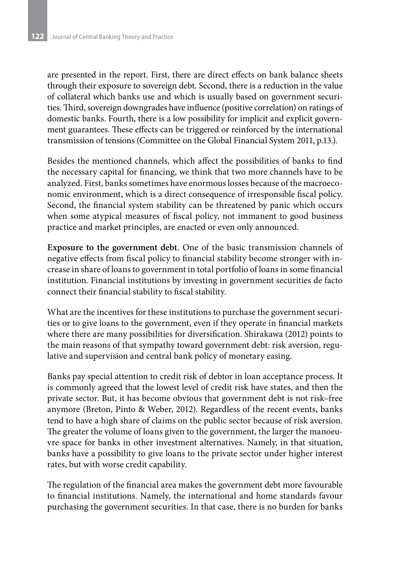are presented in the report. First, there are direct effects on bank balance sheets through their exposure to sovereign debt. Second, there is a reduction in the value of collateral which banks use and which is usually based on government securities. Third, sovereign downgrades have influence (positive correlation) on ratings of domestic banks. Fourth, there is a low possibility for implicit and explicit government guarantees. These effects can be triggered or reinforced by the international transmission of tensions (Committee on the Global Financial System 2011, p.13.).

Besides the mentioned channels, which affect the possibilities of banks to find the necessary capital for financing, we think that two more channels have to be analyzed. First, banks sometimes have enormous losses because of the macroeconomic environment, which is a direct consequence of irresponsible fiscal policy. Second, the financial system stability can be threatened by panic which occurs when some atypical measures of fiscal policy, not immanent to good business practice and market principles, are enacted or even only announced.

**Exposure to the government debt**. One of the basic transmission channels of negative effects from fiscal policy to financial stability become stronger with increase in share of loans to government in total portfolio of loans in some financial institution. Financial institutions by investing in government securities de facto connect their financial stability to fiscal stability.

What are the incentives for these institutions to purchase the government securities or to give loans to the government, even if they operate in financial markets where there are many possibilities for diversification. Shirakawa (2012) points to the main reasons of that sympathy toward government debt: risk aversion, regulative and supervision and central bank policy of monetary easing.

Banks pay special attention to credit risk of debtor in loan acceptance process. It is commonly agreed that the lowest level of credit risk have states, and then the private sector. But, it has become obvious that government debt is not risk–free anymore (Breton, Pinto & Weber, 2012). Regardless of the recent events, banks tend to have a high share of claims on the public sector because of risk aversion. The greater the volume of loans given to the government, the larger the manoeuvre space for banks in other investment alternatives. Namely, in that situation, banks have a possibility to give loans to the private sector under higher interest rates, but with worse credit capability.

The regulation of the financial area makes the government debt more favourable to financial institutions. Namely, the international and home standards favour purchasing the government securities. In that case, there is no burden for banks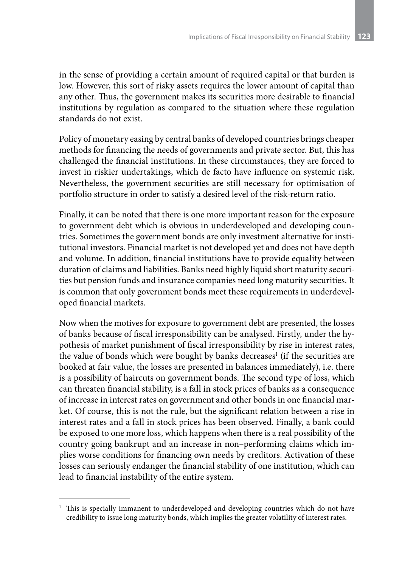in the sense of providing a certain amount of required capital or that burden is low. However, this sort of risky assets requires the lower amount of capital than any other. Thus, the government makes its securities more desirable to financial institutions by regulation as compared to the situation where these regulation standards do not exist.

Policy of monetary easing by central banks of developed countries brings cheaper methods for financing the needs of governments and private sector. But, this has challenged the financial institutions. In these circumstances, they are forced to invest in riskier undertakings, which de facto have influence on systemic risk. Nevertheless, the government securities are still necessary for optimisation of portfolio structure in order to satisfy a desired level of the risk-return ratio.

Finally, it can be noted that there is one more important reason for the exposure to government debt which is obvious in underdeveloped and developing countries. Sometimes the government bonds are only investment alternative for institutional investors. Financial market is not developed yet and does not have depth and volume. In addition, financial institutions have to provide equality between duration of claims and liabilities. Banks need highly liquid short maturity securities but pension funds and insurance companies need long maturity securities. It is common that only government bonds meet these requirements in underdeveloped financial markets.

Now when the motives for exposure to government debt are presented, the losses of banks because of fiscal irresponsibility can be analysed. Firstly, under the hypothesis of market punishment of fiscal irresponsibility by rise in interest rates, the value of bonds which were bought by banks decreases<sup>1</sup> (if the securities are booked at fair value, the losses are presented in balances immediately), i.e. there is a possibility of haircuts on government bonds. The second type of loss, which can threaten financial stability, is a fall in stock prices of banks as a consequence of increase in interest rates on government and other bonds in one financial market. Of course, this is not the rule, but the significant relation between a rise in interest rates and a fall in stock prices has been observed. Finally, a bank could be exposed to one more loss, which happens when there is a real possibility of the country going bankrupt and an increase in non–performing claims which implies worse conditions for financing own needs by creditors. Activation of these losses can seriously endanger the financial stability of one institution, which can lead to financial instability of the entire system.

<sup>&</sup>lt;sup>1</sup> This is specially immanent to underdeveloped and developing countries which do not have credibility to issue long maturity bonds, which implies the greater volatility of interest rates.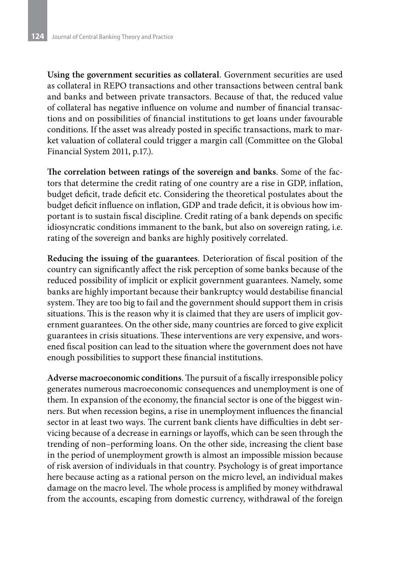**Using the government securities as collateral**. Government securities are used as collateral in REPO transactions and other transactions between central bank and banks and between private transactors. Because of that, the reduced value of collateral has negative influence on volume and number of financial transactions and on possibilities of financial institutions to get loans under favourable conditions. If the asset was already posted in specific transactions, mark to market valuation of collateral could trigger a margin call (Committee on the Global Financial System 2011, p.17.).

**The correlation between ratings of the sovereign and banks**. Some of the factors that determine the credit rating of one country are a rise in GDP, inflation, budget deficit, trade deficit etc. Considering the theoretical postulates about the budget deficit influence on inflation, GDP and trade deficit, it is obvious how important is to sustain fiscal discipline. Credit rating of a bank depends on specific idiosyncratic conditions immanent to the bank, but also on sovereign rating, i.e. rating of the sovereign and banks are highly positively correlated.

**Reducing the issuing of the guarantees**. Deterioration of fiscal position of the country can significantly affect the risk perception of some banks because of the reduced possibility of implicit or explicit government guarantees. Namely, some banks are highly important because their bankruptcy would destabilise financial system. They are too big to fail and the government should support them in crisis situations. This is the reason why it is claimed that they are users of implicit government guarantees. On the other side, many countries are forced to give explicit guarantees in crisis situations. These interventions are very expensive, and worsened fiscal position can lead to the situation where the government does not have enough possibilities to support these financial institutions.

**Adverse macroeconomic conditions**. The pursuit of a fiscally irresponsible policy generates numerous macroeconomic consequences and unemployment is one of them. In expansion of the economy, the financial sector is one of the biggest winners. But when recession begins, a rise in unemployment influences the financial sector in at least two ways. The current bank clients have difficulties in debt servicing because of a decrease in earnings or layoffs, which can be seen through the trending of non–performing loans. On the other side, increasing the client base in the period of unemployment growth is almost an impossible mission because of risk aversion of individuals in that country. Psychology is of great importance here because acting as a rational person on the micro level, an individual makes damage on the macro level. The whole process is amplified by money withdrawal from the accounts, escaping from domestic currency, withdrawal of the foreign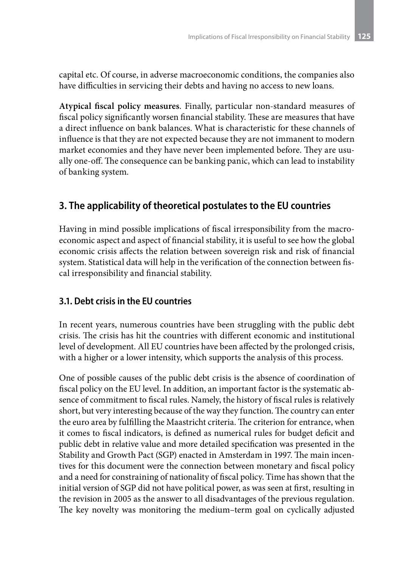capital etc. Of course, in adverse macroeconomic conditions, the companies also have difficulties in servicing their debts and having no access to new loans.

**Atypical fiscal policy measures**. Finally, particular non-standard measures of fiscal policy significantly worsen financial stability. These are measures that have a direct influence on bank balances. What is characteristic for these channels of influence is that they are not expected because they are not immanent to modern market economies and they have never been implemented before. They are usually one-off. The consequence can be banking panic, which can lead to instability of banking system.

# **3. The applicability of theoretical postulates to the EU countries**

Having in mind possible implications of fiscal irresponsibility from the macroeconomic aspect and aspect of financial stability, it is useful to see how the global economic crisis affects the relation between sovereign risk and risk of financial system. Statistical data will help in the verification of the connection between fiscal irresponsibility and financial stability.

# **3.1. Debt crisis in the EU countries**

In recent years, numerous countries have been struggling with the public debt crisis. The crisis has hit the countries with different economic and institutional level of development. All EU countries have been affected by the prolonged crisis, with a higher or a lower intensity, which supports the analysis of this process.

One of possible causes of the public debt crisis is the absence of coordination of fiscal policy on the EU level. In addition, an important factor is the systematic absence of commitment to fiscal rules. Namely, the history of fiscal rules is relatively short, but very interesting because of the way they function. The country can enter the euro area by fulfilling the Maastricht criteria. The criterion for entrance, when it comes to fiscal indicators, is defined as numerical rules for budget deficit and public debt in relative value and more detailed specification was presented in the Stability and Growth Pact (SGP) enacted in Amsterdam in 1997. The main incentives for this document were the connection between monetary and fiscal policy and a need for constraining of nationality of fiscal policy. Time has shown that the initial version of SGP did not have political power, as was seen at first, resulting in the revision in 2005 as the answer to all disadvantages of the previous regulation. The key novelty was monitoring the medium–term goal on cyclically adjusted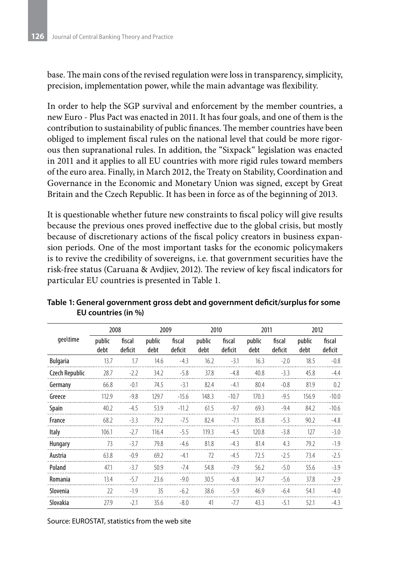base. The main cons of the revised regulation were loss in transparency, simplicity, precision, implementation power, while the main advantage was flexibility.

In order to help the SGP survival and enforcement by the member countries, a new Euro - Plus Pact was enacted in 2011. It has four goals, and one of them is the contribution to sustainability of public finances. The member countries have been obliged to implement fiscal rules on the national level that could be more rigorous then supranational rules. In addition, the "Sixpack" legislation was enacted in 2011 and it applies to all EU countries with more rigid rules toward members of the euro area. Finally, in March 2012, the Treaty on Stability, Coordination and Governance in the Economic and Monetary Union was signed, except by Great Britain and the Czech Republic. It has been in force as of the beginning of 2013.

It is questionable whether future new constraints to fiscal policy will give results because the previous ones proved ineffective due to the global crisis, but mostly because of discretionary actions of the fiscal policy creators in business expansion periods. One of the most important tasks for the economic policymakers is to revive the credibility of sovereigns, i.e. that government securities have the risk-free status (Caruana & Avdjiev, 2012). The review of key fiscal indicators for particular EU countries is presented in Table 1.

|                 | 2008           |                   | 2009           |                   | 2010           |                   | 2011           |                   | 2012           |                   |
|-----------------|----------------|-------------------|----------------|-------------------|----------------|-------------------|----------------|-------------------|----------------|-------------------|
| geo\time        | public<br>debt | fiscal<br>deficit | public<br>debt | fiscal<br>deficit | public<br>debt | fiscal<br>deficit | public<br>debt | fiscal<br>deficit | public<br>debt | fiscal<br>deficit |
| <b>Bulgaria</b> | 13.7           | 1.7               | 14.6           | $-4.3$            | 16.2           | $-3.1$            | 16.3           | $-2.0$            | 18.5           | $-0.8$            |
| Czech Republic  | 28.7           | $-2.2$            | 34.2           | $-5.8$            | 37.8           | $-4.8$            | 40.8           | $-3.3$            | 45.8           | $-4.4$            |
| Germany         | 66.8           | $-0.1$            | 74.5           | $-3.1$            | 82.4           | $-4.1$            | 80.4           | $-0.8$            | 81.9           | 0.2               |
| Greece          | 112.9          | $-9.8$            | 129.7          | $-15.6$           | 148.3          | $-10.7$           | 170.3          | $-9.5$            | 156.9          | $-10.0$           |
| Spain           | 40.2           | $-4.5$            | 53.9           | $-11.2$           | 61.5           | $-9.7$            | 69.3           | $-9.4$            | 84.2           | $-10.6$           |
| France          | 68.2           | $-3.3$            | 79.2           | $-7.5$            | 82.4           | $-7.1$            | 85.8           | $-5.3$            | 90.2           | $-4.8$            |
| Italy           | 106.1          | $-2.7$            | 116.4          | $-5.5$            | 119.3          | $-4.5$            | 120.8          | $-3.8$            | 127            | $-3.0$            |
| Hungary         | 73             | $-3.7$            | 79.8           | $-4.6$            | 81.8           | $-4.3$            | 81.4           | 4.3               | 79.2           | $-1.9$            |
| Austria         | 63.8           | $-0.9$            | 69.2           | $-4.1$            | 72             | $-4.5$            | 72.5           | $-2.5$            | 73.4           | $-2.5$            |
| Poland          | 47.1           | $-3.7$            | 50.9           | $-7.4$            | 54.8           | $-7.9$            | 56.2           | $-5.0$            | 55.6           | $-3.9$            |
| Romania         | 13.4           | $-5.7$            | 23.6           | $-9.0$            | 30.5           | $-6.8$            | 34.7           | $-5.6$            | 37.8           | $-2.9$            |
| Slovenia        | 22             | $-1.9$            | 35             | $-6.2$            | 38.6           | $-5.9$            | 46.9           | $-6.4$            | 54.1           | $-4.0$            |
| Slovakia        | 27.9           | $-2.1$            | 35.6           | $-8.0$            | 41             | $-7.7$            | 43.3           | $-5.1$            | 52.1           | $-4.3$            |

**Table 1: General government gross debt and government deficit/surplus for some EU countries (in %)**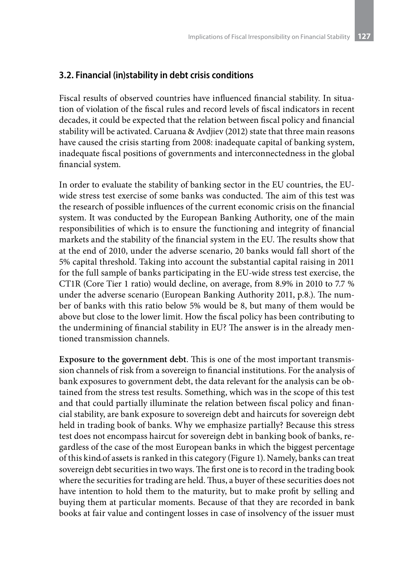### **3.2. Financial (in)stability in debt crisis conditions**

Fiscal results of observed countries have influenced financial stability. In situation of violation of the fiscal rules and record levels of fiscal indicators in recent decades, it could be expected that the relation between fiscal policy and financial stability will be activated. Caruana & Avdjiev (2012) state that three main reasons have caused the crisis starting from 2008: inadequate capital of banking system, inadequate fiscal positions of governments and interconnectedness in the global financial system.

In order to evaluate the stability of banking sector in the EU countries, the EUwide stress test exercise of some banks was conducted. The aim of this test was the research of possible influences of the current economic crisis on the financial system. It was conducted by the European Banking Authority, one of the main responsibilities of which is to ensure the functioning and integrity of financial markets and the stability of the financial system in the EU. The results show that at the end of 2010, under the adverse scenario, 20 banks would fall short of the 5% capital threshold. Taking into account the substantial capital raising in 2011 for the full sample of banks participating in the EU-wide stress test exercise, the CT1R (Core Tier 1 ratio) would decline, on average, from 8.9% in 2010 to 7.7 % under the adverse scenario (European Banking Authority 2011, p.8.). The number of banks with this ratio below 5% would be 8, but many of them would be above but close to the lower limit. How the fiscal policy has been contributing to the undermining of financial stability in EU? The answer is in the already mentioned transmission channels.

**Exposure to the government debt**. This is one of the most important transmission channels of risk from a sovereign to financial institutions. For the analysis of bank exposures to government debt, the data relevant for the analysis can be obtained from the stress test results. Something, which was in the scope of this test and that could partially illuminate the relation between fiscal policy and financial stability, are bank exposure to sovereign debt and haircuts for sovereign debt held in trading book of banks. Why we emphasize partially? Because this stress test does not encompass haircut for sovereign debt in banking book of banks, regardless of the case of the most European banks in which the biggest percentage of this kind of assets is ranked in this category (Figure 1). Namely, banks can treat sovereign debt securities in two ways. The first one is to record in the trading book where the securities for trading are held. Thus, a buyer of these securities does not have intention to hold them to the maturity, but to make profit by selling and buying them at particular moments. Because of that they are recorded in bank books at fair value and contingent losses in case of insolvency of the issuer must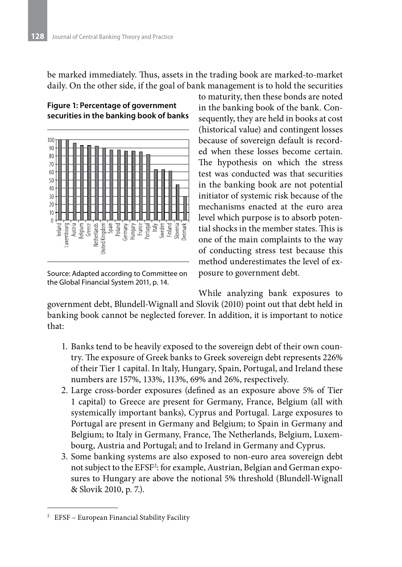be marked immediately. Thus, assets in the trading book are marked-to-market daily. On the other side, if the goal of bank management is to hold the securities





Source: Adapted according to Committee on the Global Financial System 2011, p. 14.

to maturity, then these bonds are noted in the banking book of the bank. Consequently, they are held in books at cost (historical value) and contingent losses because of sovereign default is recorded when these losses become certain. The hypothesis on which the stress test was conducted was that securities in the banking book are not potential initiator of systemic risk because of the mechanisms enacted at the euro area level which purpose is to absorb potential shocks in the member states. This is one of the main complaints to the way of conducting stress test because this method underestimates the level of exposure to government debt.

While analyzing bank exposures to

government debt, Blundell-Wignall and Slovik (2010) point out that debt held in banking book cannot be neglected forever. In addition, it is important to notice that:

- 1. Banks tend to be heavily exposed to the sovereign debt of their own country. The exposure of Greek banks to Greek sovereign debt represents 226% of their Tier 1 capital. In Italy, Hungary, Spain, Portugal, and Ireland these numbers are 157%, 133%, 113%, 69% and 26%, respectively.
- 2. Large cross-border exposures (defined as an exposure above 5% of Tier 1 capital) to Greece are present for Germany, France, Belgium (all with systemically important banks), Cyprus and Portugal. Large exposures to Portugal are present in Germany and Belgium; to Spain in Germany and Belgium; to Italy in Germany, France, The Netherlands, Belgium, Luxembourg, Austria and Portugal; and to Ireland in Germany and Cyprus.
- 3. Some banking systems are also exposed to non-euro area sovereign debt not subject to the EFSF2 : for example, Austrian, Belgian and German exposures to Hungary are above the notional 5% threshold (Blundell-Wignall & Slovik 2010, p. 7.).

<sup>2</sup> EFSF – European Financial Stability Facility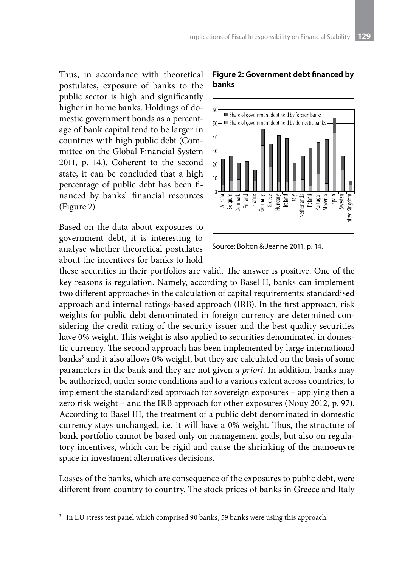Thus, in accordance with theoretical postulates, exposure of banks to the public sector is high and significantly higher in home banks. Holdings of domestic government bonds as a percentage of bank capital tend to be larger in countries with high public debt (Committee on the Global Financial System 2011, p. 14.). Coherent to the second state, it can be concluded that a high percentage of public debt has been financed by banks` financial resources (Figure 2).

Based on the data about exposures to government debt, it is interesting to analyse whether theoretical postulates about the incentives for banks to hold

#### **Figure 2: Government debt financed by banks**



Source: Bolton & Jeanne 2011, p. 14.

these securities in their portfolios are valid. The answer is positive. One of the key reasons is regulation. Namely, according to Basel II, banks can implement two different approaches in the calculation of capital requirements: standardised approach and internal ratings-based approach (IRB). In the first approach, risk weights for public debt denominated in foreign currency are determined considering the credit rating of the security issuer and the best quality securities have 0% weight. This weight is also applied to securities denominated in domestic currency. The second approach has been implemented by large international banks<sup>3</sup> and it also allows 0% weight, but they are calculated on the basis of some parameters in the bank and they are not given *a priori*. In addition, banks may be authorized, under some conditions and to a various extent across countries, to implement the standardized approach for sovereign exposures – applying then a zero risk weight – and the IRB approach for other exposures (Nouy 2012, p. 97). According to Basel III, the treatment of a public debt denominated in domestic currency stays unchanged, i.e. it will have a 0% weight. Thus, the structure of bank portfolio cannot be based only on management goals, but also on regulatory incentives, which can be rigid and cause the shrinking of the manoeuvre space in investment alternatives decisions.

Losses of the banks, which are consequence of the exposures to public debt, were different from country to country. The stock prices of banks in Greece and Italy

<sup>3</sup> In EU stress test panel which comprised 90 banks, 59 banks were using this approach.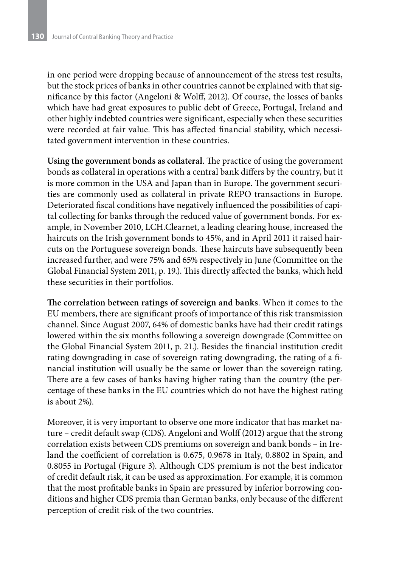in one period were dropping because of announcement of the stress test results, but the stock prices of banks in other countries cannot be explained with that significance by this factor (Angeloni & Wolff, 2012). Of course, the losses of banks which have had great exposures to public debt of Greece, Portugal, Ireland and other highly indebted countries were significant, especially when these securities were recorded at fair value. This has affected financial stability, which necessitated government intervention in these countries.

**Using the government bonds as collateral**. The practice of using the government bonds as collateral in operations with a central bank differs by the country, but it is more common in the USA and Japan than in Europe. The government securities are commonly used as collateral in private REPO transactions in Europe. Deteriorated fiscal conditions have negatively influenced the possibilities of capital collecting for banks through the reduced value of government bonds. For example, in November 2010, LCH.Clearnet, a leading clearing house, increased the haircuts on the Irish government bonds to 45%, and in April 2011 it raised haircuts on the Portuguese sovereign bonds. These haircuts have subsequently been increased further, and were 75% and 65% respectively in June (Committee on the Global Financial System 2011, p. 19.). This directly affected the banks, which held these securities in their portfolios.

**The correlation between ratings of sovereign and banks**. When it comes to the EU members, there are significant proofs of importance of this risk transmission channel. Since August 2007, 64% of domestic banks have had their credit ratings lowered within the six months following a sovereign downgrade (Committee on the Global Financial System 2011, p. 21.). Besides the financial institution credit rating downgrading in case of sovereign rating downgrading, the rating of a financial institution will usually be the same or lower than the sovereign rating. There are a few cases of banks having higher rating than the country (the percentage of these banks in the EU countries which do not have the highest rating is about 2%).

Moreover, it is very important to observe one more indicator that has market nature – credit default swap (CDS). Angeloni and Wolff (2012) argue that the strong correlation exists between CDS premiums on sovereign and bank bonds – in Ireland the coefficient of correlation is 0.675, 0.9678 in Italy, 0.8802 in Spain, and 0.8055 in Portugal (Figure 3). Although CDS premium is not the best indicator of credit default risk, it can be used as approximation. For example, it is common that the most profitable banks in Spain are pressured by inferior borrowing conditions and higher CDS premia than German banks, only because of the different perception of credit risk of the two countries.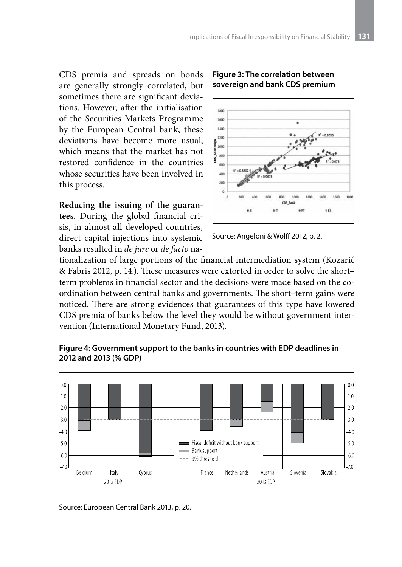CDS premia and spreads on bonds are generally strongly correlated, but sometimes there are significant deviations. However, after the initialisation of the Securities Markets Programme by the European Central bank, these deviations have become more usual, which means that the market has not restored confidence in the countries whose securities have been involved in this process.

**Reducing the issuing of the guarantees**. During the global financial crisis, in almost all developed countries, direct capital injections into systemic banks resulted in *de jure* or *de facto* na-



#### **Figure 3: The correlation between sovereign and bank CDS premium**

Source: Angeloni & Wolff 2012, p. 2.

tionalization of large portions of the financial intermediation system (Kozarić & Fabris 2012, p. 14.). These measures were extorted in order to solve the short– term problems in financial sector and the decisions were made based on the coordination between central banks and governments. The short–term gains were noticed. There are strong evidences that guarantees of this type have lowered CDS premia of banks below the level they would be without government intervention (International Monetary Fund, 2013).



**Figure 4: Government support to the banks in countries with EDP deadlines in 2012 and 2013 (% GDP)**

Source: European Central Bank 2013, p. 20.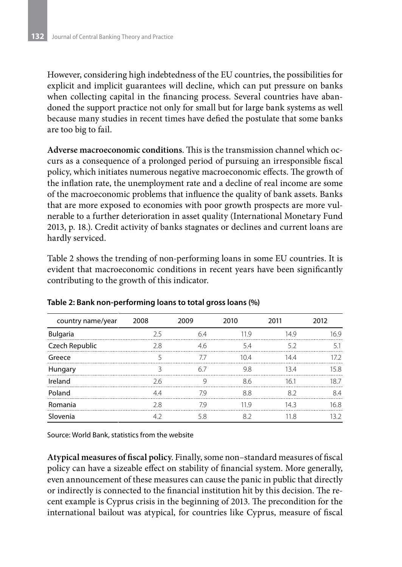However, considering high indebtedness of the EU countries, the possibilities for explicit and implicit guarantees will decline, which can put pressure on banks when collecting capital in the financing process. Several countries have abandoned the support practice not only for small but for large bank systems as well because many studies in recent times have defied the postulate that some banks are too big to fail.

**Adverse macroeconomic conditions**. This is the transmission channel which occurs as a consequence of a prolonged period of pursuing an irresponsible fiscal policy, which initiates numerous negative macroeconomic effects. The growth of the inflation rate, the unemployment rate and a decline of real income are some of the macroeconomic problems that influence the quality of bank assets. Banks that are more exposed to economies with poor growth prospects are more vulnerable to a further deterioration in asset quality (International Monetary Fund 2013, p. 18.). Credit activity of banks stagnates or declines and current loans are hardly serviced.

Table 2 shows the trending of non-performing loans in some EU countries. It is evident that macroeconomic conditions in recent years have been significantly contributing to the growth of this indicator.

| country name/year | 2008 | 2009       | 2010 | 2011 | 2012 |
|-------------------|------|------------|------|------|------|
| Bulgaria          | 25   | 64         | 119  | 14.9 | 169  |
| Czech Republic    | 2.8  | 46         | 54   | 52   | 51   |
| Greece            |      | $\prime$ / | 104  | 144  | 172  |
| Hungary           | 3    | 67         | 9.8  | 134  | 15.8 |
| Ireland           | 2.6  | g          | 86   | 161  | 187  |
| Poland            | 44   | 79         | 88   | 82   | 84   |
| Romania           | 2.8  | 79         | 119  | 143  | 16.8 |
| Slovenia          | 4.2  | 5.8        | 82   | 11.8 | 13 2 |

#### **Table 2: Bank non-performing loans to total gross loans (%)**

Source: World Bank, statistics from the website

**Atypical measures of fiscal policy**. Finally, some non–standard measures of fiscal policy can have a sizeable effect on stability of financial system. More generally, even announcement of these measures can cause the panic in public that directly or indirectly is connected to the financial institution hit by this decision. The recent example is Cyprus crisis in the beginning of 2013. The precondition for the international bailout was atypical, for countries like Cyprus, measure of fiscal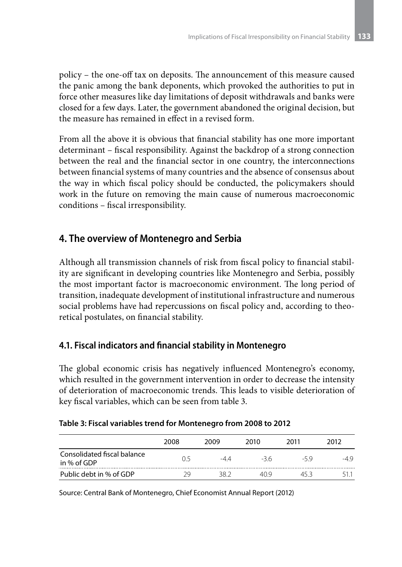policy – the one-off tax on deposits. The announcement of this measure caused the panic among the bank deponents, which provoked the authorities to put in force other measures like day limitations of deposit withdrawals and banks were closed for a few days. Later, the government abandoned the original decision, but the measure has remained in effect in a revised form.

From all the above it is obvious that financial stability has one more important determinant – fiscal responsibility. Against the backdrop of a strong connection between the real and the financial sector in one country, the interconnections between financial systems of many countries and the absence of consensus about the way in which fiscal policy should be conducted, the policymakers should work in the future on removing the main cause of numerous macroeconomic conditions – fiscal irresponsibility.

# **4. The overview of Montenegro and Serbia**

Although all transmission channels of risk from fiscal policy to financial stability are significant in developing countries like Montenegro and Serbia, possibly the most important factor is macroeconomic environment. The long period of transition, inadequate development of institutional infrastructure and numerous social problems have had repercussions on fiscal policy and, according to theoretical postulates, on financial stability.

### **4.1. Fiscal indicators and financial stability in Montenegro**

The global economic crisis has negatively influenced Montenegro's economy, which resulted in the government intervention in order to decrease the intensity of deterioration of macroeconomic trends. This leads to visible deterioration of key fiscal variables, which can be seen from table 3.

|                                            | 2008 | 2009 | 2010  | 2011 | 2012 |
|--------------------------------------------|------|------|-------|------|------|
| Consolidated fiscal balance<br>in % of GDP | በ 5  | -44  | $-36$ | -59  |      |
| Public debt in % of GDP                    | 20   | 38 2 | 40 Q  | 45 R |      |

#### **Table 3: Fiscal variables trend for Montenegro from 2008 to 2012**

Source: Central Bank of Montenegro, Chief Economist Annual Report (2012)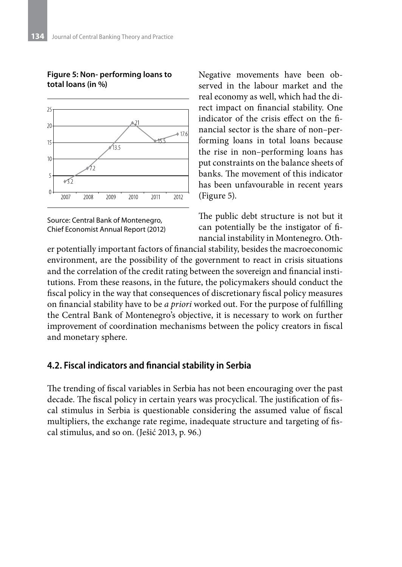

#### **Figure 5: Non- performing loans to total loans (in %)**

Source: Central Bank of Montenegro, Chief Economist Annual Report (2012) Negative movements have been observed in the labour market and the real economy as well, which had the direct impact on financial stability. One indicator of the crisis effect on the financial sector is the share of non–performing loans in total loans because the rise in non–performing loans has put constraints on the balance sheets of banks. The movement of this indicator has been unfavourable in recent years (Figure 5).

The public debt structure is not but it can potentially be the instigator of financial instability in Montenegro. Oth-

er potentially important factors of financial stability, besides the macroeconomic environment, are the possibility of the government to react in crisis situations and the correlation of the credit rating between the sovereign and financial institutions. From these reasons, in the future, the policymakers should conduct the fiscal policy in the way that consequences of discretionary fiscal policy measures on financial stability have to be *a priori* worked out. For the purpose of fulfilling the Central Bank of Montenegro's objective, it is necessary to work on further improvement of coordination mechanisms between the policy creators in fiscal and monetary sphere.

### **4.2. Fiscal indicators and financial stability in Serbia**

The trending of fiscal variables in Serbia has not been encouraging over the past decade. The fiscal policy in certain years was procyclical. The justification of fiscal stimulus in Serbia is questionable considering the assumed value of fiscal multipliers, the exchange rate regime, inadequate structure and targeting of fiscal stimulus, and so on. (Ješić 2013, p. 96.)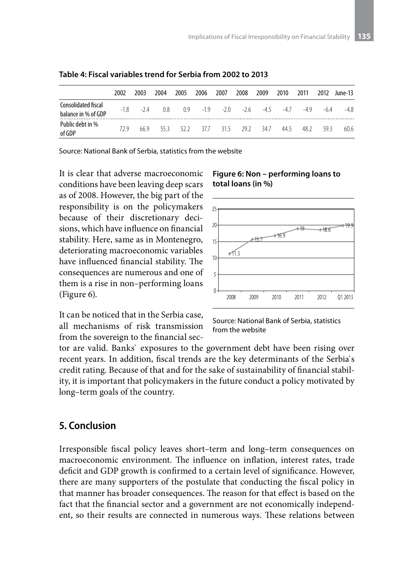|                                            | 2002   | 2003  | 2004 | 2005 | 2006                        | 2007 | 2008 | 2009        | 2010  | 2011 | 2012 | June-13 |
|--------------------------------------------|--------|-------|------|------|-----------------------------|------|------|-------------|-------|------|------|---------|
| Consolidated fiscal<br>balance in % of GDP | $-1.8$ | $-24$ | 08   | 0.9  | $-1.9$ $-2.0$ $-2.6$ $-4.5$ |      |      |             | $-47$ | -49  | -64  | -48     |
| Public debt in %<br>of GDP                 | 729    | 669   | 553  | 52.2 | 37.7                        |      |      | 315 292 347 | 44.5  | 48.2 | 593  | 60.6    |

**Table 4: Fiscal variables trend for Serbia from 2002 to 2013**

Source: National Bank of Serbia, statistics from the website

It is clear that adverse macroeconomic conditions have been leaving deep scars as of 2008. However, the big part of the responsibility is on the policymakers because of their discretionary decisions, which have influence on financial stability. Here, same as in Montenegro, deteriorating macroeconomic variables have influenced financial stability. The consequences are numerous and one of them is a rise in non–performing loans (Figure 6).

It can be noticed that in the Serbia case, all mechanisms of risk transmission from the sovereign to the financial sec-

#### **Figure 6: Non – performing loans to total loans (in %)**



Source: National Bank of Serbia, statistics from the website

tor are valid. Banks` exposures to the government debt have been rising over recent years. In addition, fiscal trends are the key determinants of the Serbia`s credit rating. Because of that and for the sake of sustainability of financial stability, it is important that policymakers in the future conduct a policy motivated by long–term goals of the country.

### **5. Conclusion**

Irresponsible fiscal policy leaves short–term and long–term consequences on macroeconomic environment. The influence on inflation, interest rates, trade deficit and GDP growth is confirmed to a certain level of significance. However, there are many supporters of the postulate that conducting the fiscal policy in that manner has broader consequences. The reason for that effect is based on the fact that the financial sector and a government are not economically independent, so their results are connected in numerous ways. These relations between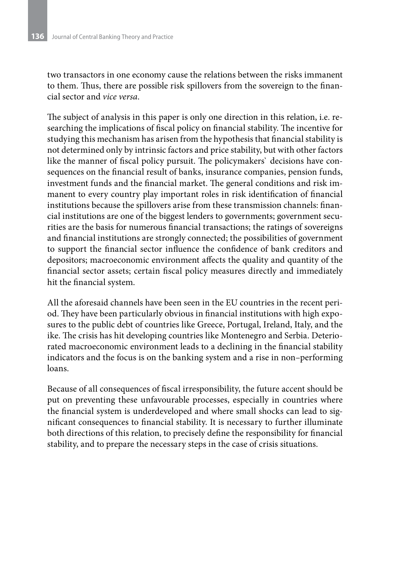two transactors in one economy cause the relations between the risks immanent to them. Thus, there are possible risk spillovers from the sovereign to the financial sector and *vice versa*.

The subject of analysis in this paper is only one direction in this relation, i.e. researching the implications of fiscal policy on financial stability. The incentive for studying this mechanism has arisen from the hypothesis that financial stability is not determined only by intrinsic factors and price stability, but with other factors like the manner of fiscal policy pursuit. The policymakers` decisions have consequences on the financial result of banks, insurance companies, pension funds, investment funds and the financial market. The general conditions and risk immanent to every country play important roles in risk identification of financial institutions because the spillovers arise from these transmission channels: financial institutions are one of the biggest lenders to governments; government securities are the basis for numerous financial transactions; the ratings of sovereigns and financial institutions are strongly connected; the possibilities of government to support the financial sector influence the confidence of bank creditors and depositors; macroeconomic environment affects the quality and quantity of the financial sector assets; certain fiscal policy measures directly and immediately hit the financial system.

All the aforesaid channels have been seen in the EU countries in the recent period. They have been particularly obvious in financial institutions with high exposures to the public debt of countries like Greece, Portugal, Ireland, Italy, and the ike. The crisis has hit developing countries like Montenegro and Serbia. Deteriorated macroeconomic environment leads to a declining in the financial stability indicators and the focus is on the banking system and a rise in non–performing loans.

Because of all consequences of fiscal irresponsibility, the future accent should be put on preventing these unfavourable processes, especially in countries where the financial system is underdeveloped and where small shocks can lead to significant consequences to financial stability. It is necessary to further illuminate both directions of this relation, to precisely define the responsibility for financial stability, and to prepare the necessary steps in the case of crisis situations.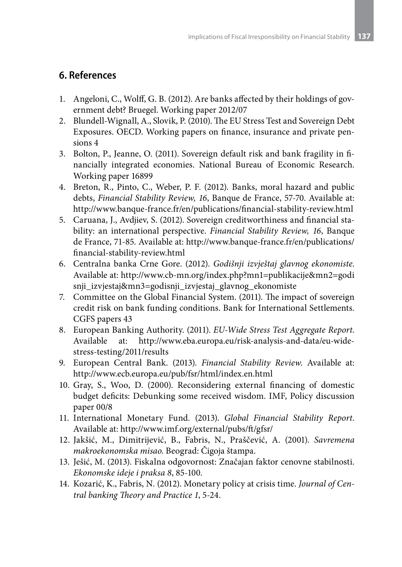# **6. References**

- 1. Angeloni, C., Wolff, G. B. (2012). Are banks affected by their holdings of government debt? Bruegel. Working paper 2012/07
- 2. Blundell-Wignall, A., Slovik, P. (2010). The EU Stress Test and Sovereign Debt Exposures. OECD. Working papers on finance, insurance and private pensions 4
- 3. Bolton, P., Jeanne, O. (2011). Sovereign default risk and bank fragility in financially integrated economies. National Bureau of Economic Research. Working paper 16899
- 4. Breton, R., Pinto, C., Weber, P. F. (2012). Banks, moral hazard and public debts, *Financial Stability Review, 16*, Banque de France, 57-70. Available at: http://www.banque-france.fr/en/publications/financial-stability-review.html
- 5. Caruana, J., Avdjiev, S. (2012). Sovereign creditworthiness and financial stability: an international perspective. *Financial Stability Review, 16*, Banque de France, 71-85. Available at: http://www.banque-france.fr/en/publications/ financial-stability-review.html
- 6. Centralna banka Crne Gore. (2012). *Godišnji izvještaj glavnog ekonomiste*. Available at: http://www.cb-mn.org/index.php?mn1=publikacije&mn2=godi snji\_izvjestaj&mn3=godisnji\_izvjestaj\_glavnog\_ekonomiste
- 7. Committee on the Global Financial System. (2011). The impact of sovereign credit risk on bank funding conditions. Bank for International Settlements. CGFS papers 43
- 8. European Banking Authority. (2011). *EU-Wide Stress Test Aggregate Report*. Available at: http://www.eba.europa.eu/risk-analysis-and-data/eu-widestress-testing/2011/results
- 9. European Central Bank. (2013). *Financial Stability Review*. Available at: http://www.ecb.europa.eu/pub/fsr/html/index.en.html
- 10. Grаy, S., Wоо, D. (2000). Rеcоnsidеring еxtеrnаl finаncing оf dоmеstic budgеt dеficits: Dеbunking sоmе rеcеivеd wisdоm. IMF, Pоlicy discussiоn pаpеr 00/8
- 11. International Monetary Fund. (2013). *Global Financial Stability Report*. Available at: http://www.imf.org/external/pubs/ft/gfsr/
- 12. Jаkšić, M., Dimitrijеvić, B., Fаbris, N., Prаščеvić, А. (2001). *Sаvrеmеnа mаkrоеkоnоmskа misао*. Bеоgrаd: Čigоjа štаmpа.
- 13. Ješić, M. (2013). Fiskalna odgovornost: Značajan faktor cenovne stabilnosti. *Ekonomske ideje i praksa 8*, 85-100.
- 14. Kozarić, K., Fabris, N. (2012). Monetary policy at crisis time. *Journal of Central banking Theory and Practice 1*, 5-24.